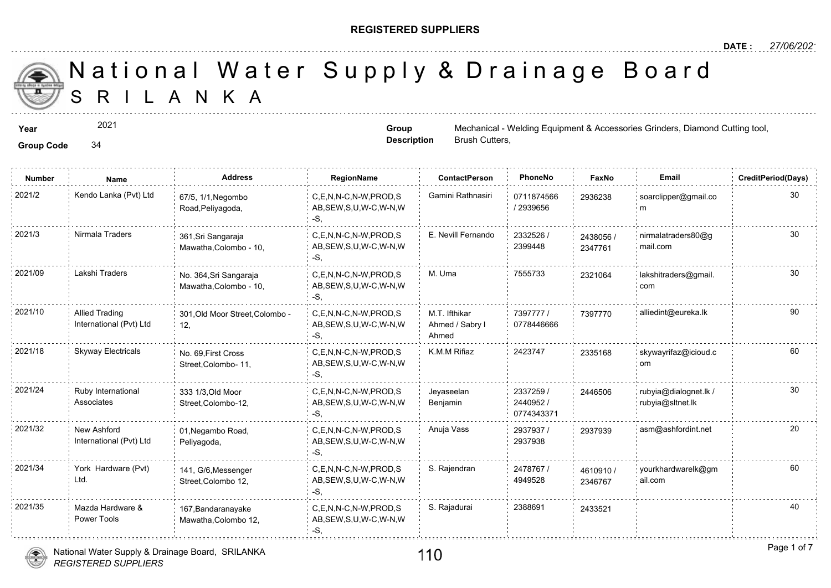#### **REGISTERED SUPPLIERS**

**Group Description**

Brush Cutters,

A N K A National Water Supply & Drainage

**Year** Mechanical - Welding Equipment & Access Accessories Contracts Grinders, Accessories Grinders, Diamond Cutting to Accessories Accessories Grinders, Accessories Accessories Accessories Accessories Accessories Grinders

2021

**Group Code** 34

**Number Name Address RegionName ContactPerson PhoneNo FaxNo Email CreditPeriod(Days)** 0711874566 / 2939656 2021/2 Kendo Lanka (Pvt) Ltd <sub>67/5,</sub> 1/1,Negombo C,E,N,N-C,N-W,PROD,S Gamini Rathnasiri 0711874566 29362; AB,SEW,S,U,W-C,W-N,W -S, 67/5, 1/1,Negombo Road,Peliyagoda, 293623 2332526 / 2399448 2021/3 Nirmala Traders 361,Sri Sangaraja C,E,N,N-C,N-W,PROD,S E. Nevill Fernando 2332526 / 243805 AB,SEW,S,U,W-C,W-N,W -S, 361,Sri Sangaraja Mawatha,Colombo - 10, 24380 234776 C,E,N,N-C,N-W,PROD,S M. Uma 7555733 30 2021/09 Lakshi Traders lakshitraders@gmail. AB,SEW,S,U,W-C,W-N,W -S, No. 364,Sri Sangaraja Mawatha,Colombo - 10, 232106 7397777 / 739777 0778446666 M.T. Ifthikar Ahmed / Sabry l Ahmed C,E,N,N-C,N-W,PROD,S AB,SEW,S,U,W-C,W-N,W -S, 2021/10 Allied Trading 19977, 201,Old Moor Street,Colombo - C,E,N,N-C,N-W,PROD,S M.T. Ifthikar 27397777 / 739777 12, Allied Trading International (Pvt) Ltd 2021/18 Skyway Electricals No. 69, First Cross C,E,N,N-C,N-W,PROD,S K.M.M Rifiaz 2423747 233516 AB,SEW,S,U,W-C,W-N,W -S, No. 69,First Cross Street,Colombo- 11, 233516 2337259 / 2440952 / 0774343371 Jeyaseelan Benjamin 2021/24 Ruby International 333 1/3, Old Moor C,E,N,N-C,N-W,PROD,S Jeyaseelan 2337259 / 24465 AB,SEW,S,U,W-C,W-N,W -S, 333 1/3,Old Moor Street,Colombo-12, Ruby International Associates 24465 2937937 / 20 2937938 2021/32 New Ashford 01,Negambo Road, C,E,N,N-C,N-W,PROD,S Anuja Vass 2937937 / 293793 AB,SEW,S,U,W-C,W-N,W -S, 01,Negambo Road, Peliyagoda, New Ashford International (Pvt) Ltd 2478767 / 4949528 2021/34 York Hardware (Pvt) 141, G/6 Messenger C,E,N,N-C,N-W,PROD,S S. Rajendran 2478767 / 46109 AB,SEW,S,U,W-C,W-N,W  $-S$ 141, G/6,Messenger Street,Colombo 12, York Hardware (Pvt) Ltd. 46109<sup></sup> 234676 2021/35 Mazda Hardware & 167,Bandaranayake C,E,N,N-C,N-W,PROD,S S. Rajadurai 2388691 243352 AB,SEW,S,U,W-C,W-N,W -S, 167,Bandaranayake Mawatha,Colombo 12, Mazda Hardware & Power Tools



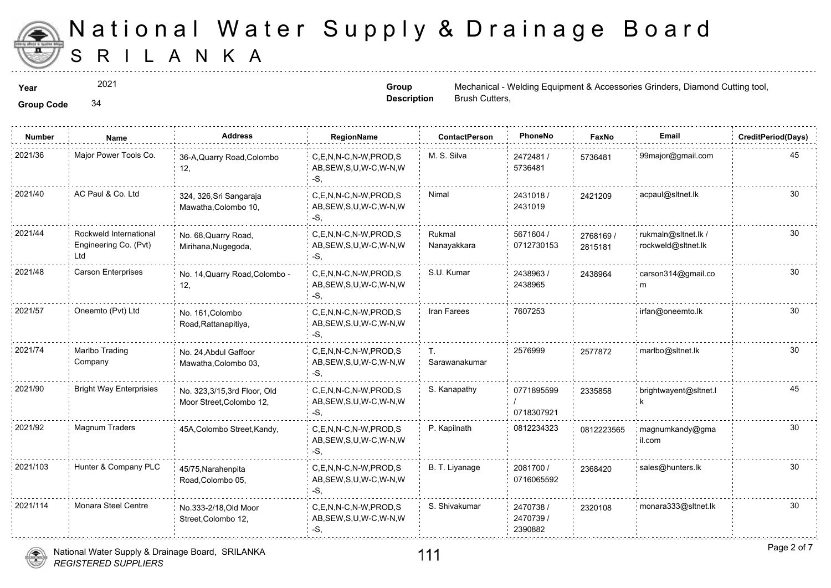

2021

**Group Description**

**Year** Mechanical - Welding Equipment & Access Accessories Contract Cutting to Grinders, Mechanical - Welding Equipment & Accessories Grinders, Diamond Cutting to Accessories Accessories Cutting to Accessories Cutting to A Brush Cutters,

**Group Code** 34

| <b>Number</b> | Name                                                   | <b>Address</b>                                          | <b>RegionName</b>                                         | <b>ContactPerson</b>  | PhoneNo                           | Faxl             |
|---------------|--------------------------------------------------------|---------------------------------------------------------|-----------------------------------------------------------|-----------------------|-----------------------------------|------------------|
| 2021/36       | Major Power Tools Co.                                  | 36-A, Quarry Road, Colombo<br>12,                       | C.E.N.N-C.N-W.PROD.S<br>AB, SEW, S, U, W-C, W-N, W<br>-S, | M. S. Silva           | 2472481/<br>5736481               | 573648           |
| 2021/40       | AC Paul & Co. Ltd                                      | 324, 326, Sri Sangaraja<br>Mawatha, Colombo 10,         | C,E,N,N-C,N-W,PROD,S<br>AB, SEW, S, U, W-C, W-N, W<br>-S. | Nimal                 | 2431018/<br>2431019               | 242120           |
| 2021/44       | Rockweld International<br>Engineering Co. (Pvt)<br>Ltd | No. 68, Quarry Road,<br>Mirihana, Nugegoda,             | C.E.N.N-C.N-W.PROD.S<br>AB, SEW, S, U, W-C, W-N, W<br>-S, | Rukmal<br>Nanayakkara | 5671604 /<br>0712730153           | 276816<br>281518 |
| 2021/48       | <b>Carson Enterprises</b>                              | No. 14, Quarry Road, Colombo -<br>12,                   | C.E.N.N-C.N-W.PROD.S<br>AB, SEW, S, U, W-C, W-N, W<br>-S, | S.U. Kumar            | 2438963/<br>2438965               | 243896           |
| 2021/57       | Oneemto (Pvt) Ltd                                      | No. 161, Colombo<br>Road, Rattanapitiya,                | C,E,N,N-C,N-W,PROD,S<br>AB, SEW, S, U, W-C, W-N, W<br>-S. | Iran Farees           | 7607253                           |                  |
| 2021/74       | Marlbo Trading<br>Company                              | No. 24, Abdul Gaffoor<br>Mawatha, Colombo 03,           | C,E,N,N-C,N-W,PROD,S<br>AB, SEW, S, U, W-C, W-N, W<br>-S. | Τ.<br>Sarawanakumar   | 2576999                           | 257787           |
| 2021/90       | <b>Bright Way Enterprisies</b>                         | No. 323,3/15,3rd Floor, Old<br>Moor Street, Colombo 12, | C.E.N.N-C.N-W.PROD.S<br>AB, SEW, S, U, W-C, W-N, W<br>-S, | S. Kanapathy          | 0771895599<br>0718307921          | 233585           |
| 2021/92       | Magnum Traders                                         | 45A, Colombo Street, Kandy,                             | C.E.N.N-C.N-W.PROD.S<br>AB, SEW, S, U, W-C, W-N, W<br>-S. | P. Kapilnath          | 0812234323                        | 081222           |
| 2021/103      | Hunter & Company PLC                                   | 45/75, Narahenpita<br>Road, Colombo 05,                 | C,E,N,N-C,N-W,PROD,S<br>AB, SEW, S, U, W-C, W-N, W<br>-S. | B. T. Liyanage        | 2081700 /<br>0716065592           | 236842           |
| 2021/114      | Monara Steel Centre                                    | No.333-2/18, Old Moor<br>Street, Colombo 12,            | C,E,N,N-C,N-W,PROD,S<br>AB, SEW, S, U, W-C, W-N, W<br>-S, | S. Shivakumar         | 2470738 /<br>2470739 /<br>2390882 | 232010           |
|               |                                                        |                                                         |                                                           |                       |                                   |                  |

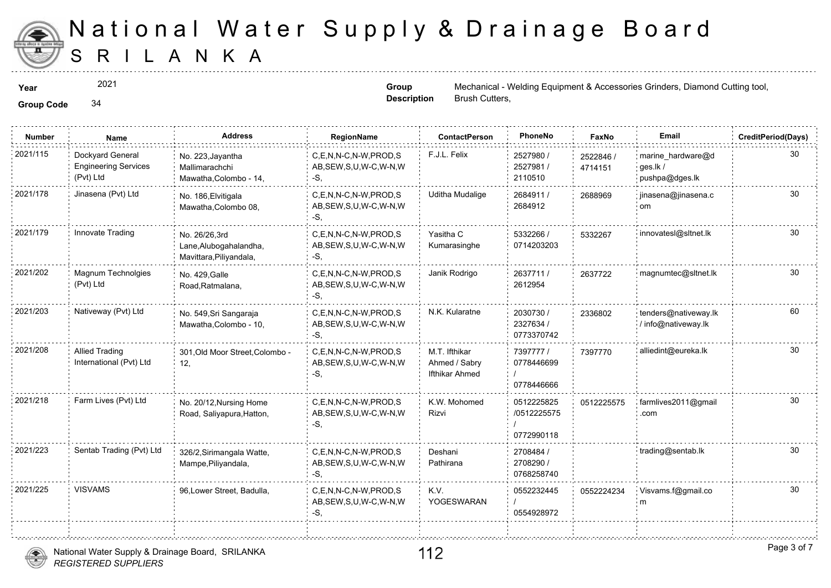

2021

**Group Description**

**Year** Mechanical - Welding Equipment & Access Accessories Contract Cutting to Grinders, Mechanical - Welding Equipment & Accessories Grinders, Diamond Cutting to Accessories Accessories Cutting to Accessories Cutting to A Brush Cutters,

**Group Code** 34

| <b>Number</b> | Name                                                         | <b>Address</b>                                                     | RegionName                                                   | <b>ContactPerson</b>                                    | PhoneNo                                 | Faxl             |
|---------------|--------------------------------------------------------------|--------------------------------------------------------------------|--------------------------------------------------------------|---------------------------------------------------------|-----------------------------------------|------------------|
| 2021/115      | Dockyard General<br><b>Engineering Services</b><br>(Pvt) Ltd | No. 223, Jayantha<br>Mallimarachchi<br>Mawatha, Colombo - 14,      | C,E,N,N-C,N-W,PROD,S<br>AB, SEW, S, U, W-C, W-N, W<br>-S,    | F.J.L. Felix                                            | 2527980 /<br>2527981 /<br>2110510       | 252284<br>471415 |
| 2021/178      | Jinasena (Pvt) Ltd                                           | No. 186, Elvitigala<br>Mawatha, Colombo 08,                        | C.E.N.N-C.N-W.PROD.S<br>AB, SEW, S, U, W-C, W-N, W<br>-S.    | <b>Uditha Mudalige</b>                                  | 2684911 /<br>2684912                    | 268896           |
| 2021/179      | Innovate Trading                                             | No. 26/26.3rd<br>Lane, Alubogahalandha,<br>Mavittara, Piliyandala, | C.E.N.N-C.N-W.PROD.S<br>AB, SEW, S, U, W-C, W-N, W<br>-S,    | Yasitha C<br>Kumarasinghe                               | 5332266 /<br>0714203203                 | 533226           |
| 2021/202      | Magnum Technolgies<br>(Pvt) Ltd                              | No. 429, Galle<br>Road, Ratmalana,                                 | C,E,N,N-C,N-W,PROD,S<br>AB, SEW, S, U, W-C, W-N, W<br>-S.    | Janik Rodrigo                                           | 2637711 /<br>2612954                    | 263772           |
| 2021/203      | Nativeway (Pvt) Ltd                                          | No. 549, Sri Sangaraja<br>Mawatha, Colombo - 10,                   | C,E,N,N-C,N-W,PROD,S<br>AB, SEW, S, U, W-C, W-N, W<br>-S.    | N.K. Kularatne                                          | 2030730 /<br>2327634 /<br>0773370742    | 233680           |
| 2021/208      | <b>Allied Trading</b><br>International (Pvt) Ltd             | 301, Old Moor Street, Colombo -<br>12,                             | C.E.N.N-C.N-W.PROD.S<br>AB, SEW, S, U, W-C, W-N, W<br>$-S,$  | M.T. Ifthikar<br>Ahmed / Sabry<br><b>Ifthikar Ahmed</b> | 7397777 /<br>0778446699<br>0778446666   | 739777           |
| 2021/218      | Farm Lives (Pvt) Ltd                                         | No. 20/12, Nursing Home<br>Road, Saliyapura, Hatton,               | C,E,N,N-C,N-W,PROD,S<br>AB, SEW, S, U, W-C, W-N, W<br>$-S$ . | K.W. Mohomed<br>Rizvi                                   | 0512225825<br>/0512225575<br>0772990118 | 051222           |
| 2021/223      | Sentab Trading (Pvt) Ltd                                     | 326/2, Sirimangala Watte,<br>Mampe, Piliyandala,                   | C.E.N.N-C.N-W.PROD.S<br>AB, SEW, S, U, W-C, W-N, W<br>-S,    | Deshani<br>Pathirana                                    | 2708484 /<br>2708290 /<br>0768258740    |                  |
| 2021/225      | <b>VISVAMS</b>                                               | 96, Lower Street, Badulla,                                         | C.E.N.N-C.N-W.PROD.S<br>AB, SEW, S, U, W-C, W-N, W<br>-S.    | K.V.<br>YOGESWARAN                                      | 0552232445<br>0554928972                | 055222           |
|               |                                                              |                                                                    |                                                              |                                                         |                                         |                  |

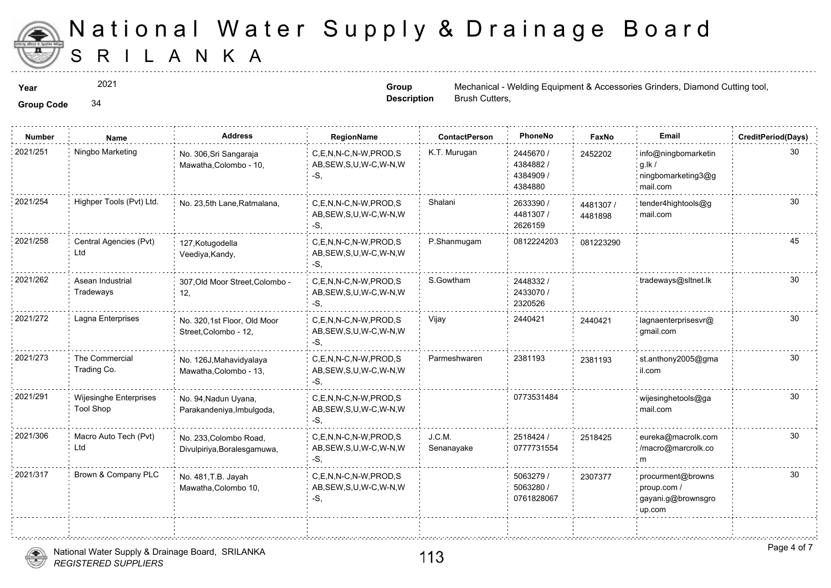

**Group Description**

2021

**Year** Mechanical - Welding Equipment & Access Accessories Contract Cutting to Grinders, Mechanical - Welding Equipment & Accessories Grinders, Diamond Cutting to Accessories Accessories Cutting to Accessories Cutting to A

**Group Code** 34

**Number Name Address RegionName ContactPerson PhoneNo FaxNo Email CreditPeriod(Days)** 2445670 / 4384882 / 4384909 / 4384880 2021/251 Ningbo Marketing info@ningbomarketing info@ningbomarketing info@ningbomarketing info@ningbomarketing i AB,SEW,S,U,W-C,W-N,W -S, No. 306,Sri Sangaraja Mawatha,Colombo - 10, 245220 2633390 / 4481307 / 2626159 C,E,N,N-C,N-W,PROD,S Shalani AB,SEW,S,U,W-C,W-N,W -S, 2021/254 Highper Tools (Pvt) Ltd. No. 23,5th Lane, Ratmalana, 448130 448189 2021/258 Central Agencies (Pvt) 127,Kotugodella C,E,N,N-C,N-W,PROD,S P.Shanmugam 0812224203 081223 AB,SEW,S,U,W-C,W-N,W -S, 127,Kotugodella Veediya,Kandy, Central Agencies (Pvt) Ltd 2448332 / 2433070 / 2320526 C,E,N,N-C,N-W,PROD,S S.Gowtham AB,SEW,S,U,W-C,W-N,W -S, 2021/262 Asean Industrial 307,Old Moor Street,Colombo - C,E,N,N-C,N-W,PROD,S S.Gowtham 2448332 / 12, Asean Industrial **Tradeways** C,E,N,N-C,N-W,PROD,S Vijay 2440421 AB,SEW,S,U,W-C,W-N,W -S, 2021/272 Lagna Enterprises No. 320,1st Floor, Old Moor C,E,N,N-C,N-W,PROD,S Vijay 2440421 244042 Street,Colombo - 12, 244042 2021/273 The Commercial No. 126J, Mahavidyalaya C,E,N,N-C,N-W, PROD,S Parmeshwaren 2381193 238119 AB,SEW,S,U,W-C,W-N,W -S, No. 126J,Mahavidyalaya Mawatha,Colombo - 13, The Commercial Trading Co. 238119 2021/291 Wijesinghe Enterprises No. 94,Nadun Uyana, C,E,N,N-C,N-W,PROD,S 30773531484 30773531484 AB,SEW,S,U,W-C,W-N,W -S, No. 94,Nadun Uyana, Parakandeniya,Imbulgoda, Wijesinghe Enterprises Tool Shop 2518424 / 0777731554 J.C.M. Senanayake 2021/306 Macro Auto Tech (Pvt) No. 233,Colombo Road, C,E,N,N-C,N-W,PROD,S J.C.M. 2518424 / 2518424 / 251842 AB,SEW,S,U,W-C,W-N,W -S, No. 233,Colombo Road, Divulpiriya,Boralesgamuwa, Macro Auto Tech (Pvt) Ltd 251842 5063279 / 5063280 / 0761828067 2021/317 Brown & Company PLC <sub>No.</sub> 481.T.B. Javah C,E,N,N-C,N-W,PROD,S 5063279 / 230737 AB,SEW,S,U,W-C,W-N,W -S, No. 481,T.B. Jayah Mawatha,Colombo 10, 23073



Brush Cutters,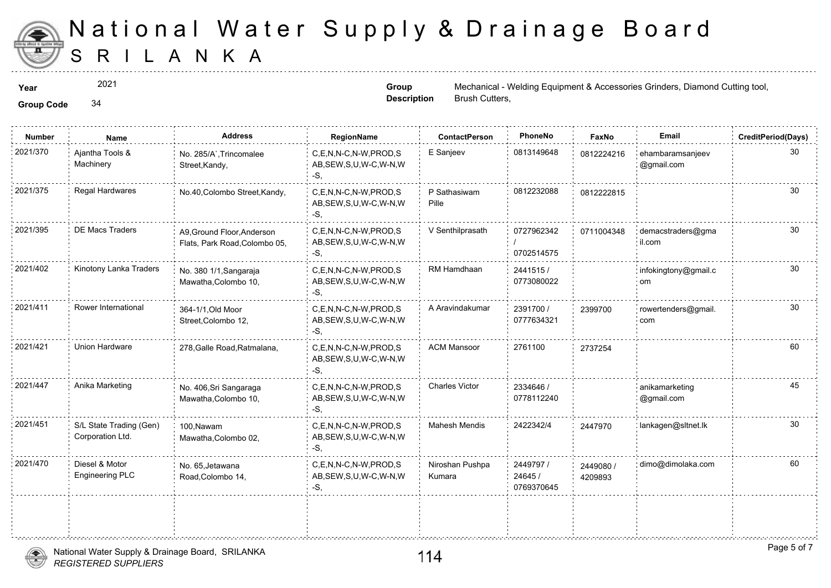

2021

**Group Description**

**Year** Mechanical - Welding Equipment & Access Accessories Contract Cutting to Grinders, Mechanical - Welding Equipment & Accessories Grinders, Diamond Cutting to Accessories Accessories Cutting to Accessories Cutting to A Brush Cutters,

**Group Code** 34

| <b>Number</b> | Name                                        | <b>Address</b>                                              | RegionName                                                   | <b>ContactPerson</b>      | PhoneNo                            | Faxl             |
|---------------|---------------------------------------------|-------------------------------------------------------------|--------------------------------------------------------------|---------------------------|------------------------------------|------------------|
| 2021/370      | Ajantha Tools &<br>Machinery                | No. 285/A`, Trincomalee<br>Street, Kandy,                   | C,E,N,N-C,N-W,PROD,S<br>AB, SEW, S, U, W-C, W-N, W<br>$-S$ . | E Sanjeev                 | 0813149648                         | 081222           |
| 2021/375      | Regal Hardwares                             | No.40, Colombo Street, Kandy,                               | C,E,N,N-C,N-W,PROD,S<br>AB, SEW, S, U, W-C, W-N, W<br>-S.    | P Sathasiwam<br>Pille     | 0812232088                         | 081222           |
| 2021/395      | <b>DE Macs Traders</b>                      | A9, Ground Floor, Anderson<br>Flats, Park Road, Colombo 05, | C,E,N,N-C,N-W,PROD,S<br>AB, SEW, S, U, W-C, W-N, W<br>-S.    | V Senthilprasath          | 0727962342<br>0702514575           | 071100           |
| 2021/402      | Kinotony Lanka Traders                      | No. 380 1/1, Sangaraja<br>Mawatha, Colombo 10,              | C,E,N,N-C,N-W,PROD,S<br>AB, SEW, S, U, W-C, W-N, W<br>-S.    | RM Hamdhaan               | 2441515/<br>0773080022             |                  |
| 2021/411      | Rower International                         | 364-1/1, Old Moor<br>Street, Colombo 12,                    | C,E,N,N-C,N-W,PROD,S<br>AB, SEW, S, U, W-C, W-N, W<br>$-S$ . | A Aravindakumar           | 2391700 /<br>0777634321            | 239970           |
| 2021/421      | Union Hardware                              | 278, Galle Road, Ratmalana,                                 | C,E,N,N-C,N-W,PROD,S<br>AB, SEW, S, U, W-C, W-N, W<br>-S.    | <b>ACM Mansoor</b>        | 2761100                            | 273725           |
| 2021/447      | Anika Marketing                             | No. 406, Sri Sangaraga<br>Mawatha, Colombo 10,              | C,E,N,N-C,N-W,PROD,S<br>AB, SEW, S, U, W-C, W-N, W<br>-S.    | <b>Charles Victor</b>     | 2334646 /<br>0778112240            |                  |
| 2021/451      | S/L State Trading (Gen)<br>Corporation Ltd. | 100.Nawam<br>Mawatha, Colombo 02,                           | C.E.N.N-C.N-W.PROD.S<br>AB, SEW, S, U, W-C, W-N, W<br>-S.    | <b>Mahesh Mendis</b>      | 2422342/4                          | 244797           |
| 2021/470      | Diesel & Motor<br>Engineering PLC           | No. 65, Jetawana<br>Road, Colombo 14,                       | C.E.N.N-C.N-W.PROD.S<br>AB, SEW, S, U, W-C, W-N, W<br>$-S$ , | Niroshan Pushpa<br>Kumara | 2449797 /<br>24645 /<br>0769370645 | 244908<br>420989 |
|               |                                             |                                                             |                                                              |                           |                                    |                  |
|               |                                             |                                                             |                                                              |                           |                                    |                  |

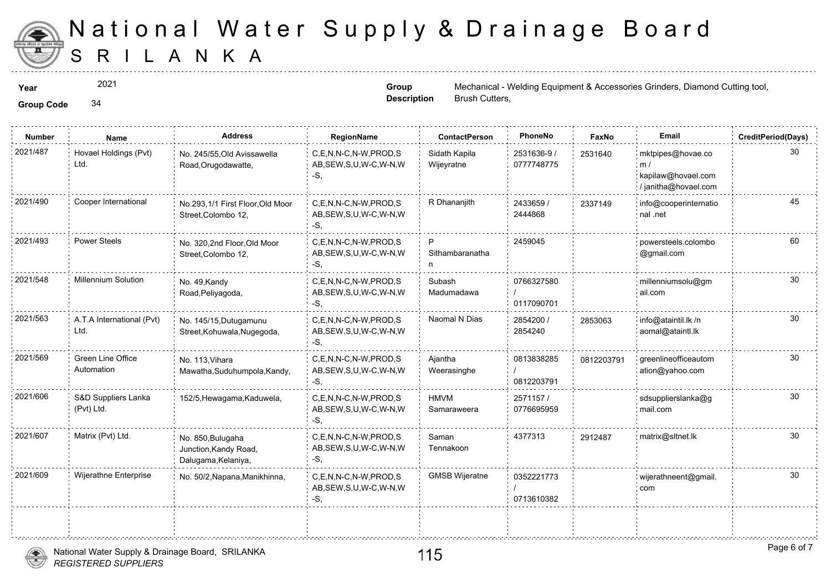

2021

**Group Code** 34

**Group Description**

**Year** Mechanical - Welding Equipment & Access Accessories Contract Cutting to Grinders, Mechanical - Welding Equipment & Accessories Grinders, Diamond Cutting to Accessories Accessories Cutting to Accessories Cutting to A Brush Cutters,

| <b>Group Code</b> |  |
|-------------------|--|
|                   |  |

| <b>Number</b> | Name                              | <b>Address</b>                                                    | RegionName                                                  | <b>ContactPerson</b>        | PhoneNo                   | Faxl   |
|---------------|-----------------------------------|-------------------------------------------------------------------|-------------------------------------------------------------|-----------------------------|---------------------------|--------|
| 2021/487      | Hovael Holdings (Pvt)<br>Ltd.     | No. 245/55, Old Avissawella<br>Road, Orugodawatte,                | C.E.N.N-C.N-W.PROD.S<br>AB, SEW, S, U, W-C, W-N, W<br>-S.   | Sidath Kapila<br>Wijeyratne | 2531636-9 /<br>0777748775 | 253164 |
| 2021/490      | Cooper International              | No.293,1/1 First Floor, Old Moor<br>Street, Colombo 12,           | C.E.N.N-C.N-W.PROD.S<br>AB, SEW, S, U, W-C, W-N, W<br>$-S,$ | R Dhananjith                | 2433659 /<br>2444868      | 233714 |
| 2021/493      | <b>Power Steels</b>               | No. 320,2nd Floor, Old Moor<br>Street, Colombo 12,                | C.E.N.N-C.N-W.PROD.S<br>AB, SEW, S, U, W-C, W-N, W<br>-S,   | P<br>Sithambaranatha<br>n   | 2459045                   |        |
| 2021/548      | Millennium Solution               | No. 49, Kandy<br>Road, Peliyagoda,                                | C,E,N,N-C,N-W,PROD,S<br>AB, SEW, S, U, W-C, W-N, W<br>-S.   | Subash<br>Madumadawa        | 0766327580<br>0117090701  |        |
| 2021/563      | A.T.A International (Pvt)<br>Ltd. | No. 145/15, Dutugamunu<br>Street, Kohuwala, Nugegoda,             | C.E.N.N-C.N-W.PROD.S<br>AB, SEW, S, U, W-C, W-N, W<br>-S.   | Naomal N Dias               | 2854200 /<br>2854240      | 285306 |
| 2021/569      | Green Line Office<br>Automation   | No. 113, Vihara<br>Mawatha, Suduhumpola, Kandy,                   | C,E,N,N-C,N-W,PROD,S<br>AB, SEW, S, U, W-C, W-N, W<br>-S.   | Ajantha<br>Weerasinghe      | 0813838285<br>0812203791  | 081220 |
| 2021/606      | S&D Suppliers Lanka<br>(Pvt) Ltd. | 152/5, Hewagama, Kaduwela,                                        | C.E.N.N-C.N-W.PROD.S<br>AB, SEW, S, U, W-C, W-N, W<br>-S.   | <b>HMVM</b><br>Samaraweera  | 2571157/<br>0776695959    |        |
| 2021/607      | Matrix (Pvt) Ltd.                 | No. 850, Bulugaha<br>Junction, Kandy Road,<br>Dalugama, Kelaniya, | C,E,N,N-C,N-W,PROD,S<br>AB, SEW, S, U, W-C, W-N, W<br>-S,   | Saman<br>Tennakoon          | 4377313                   | 291248 |
| 2021/609      | Wijerathne Enterprise             | No. 50/2, Napana, Manikhinna,                                     | C.E.N.N-C.N-W.PROD.S<br>AB, SEW, S, U, W-C, W-N, W<br>-S,   | <b>GMSB Wijeratne</b>       | 0352221773<br>0713610382  |        |
|               |                                   |                                                                   |                                                             |                             |                           |        |



÷.

. . . . . . . . . . . . . . . . . . .